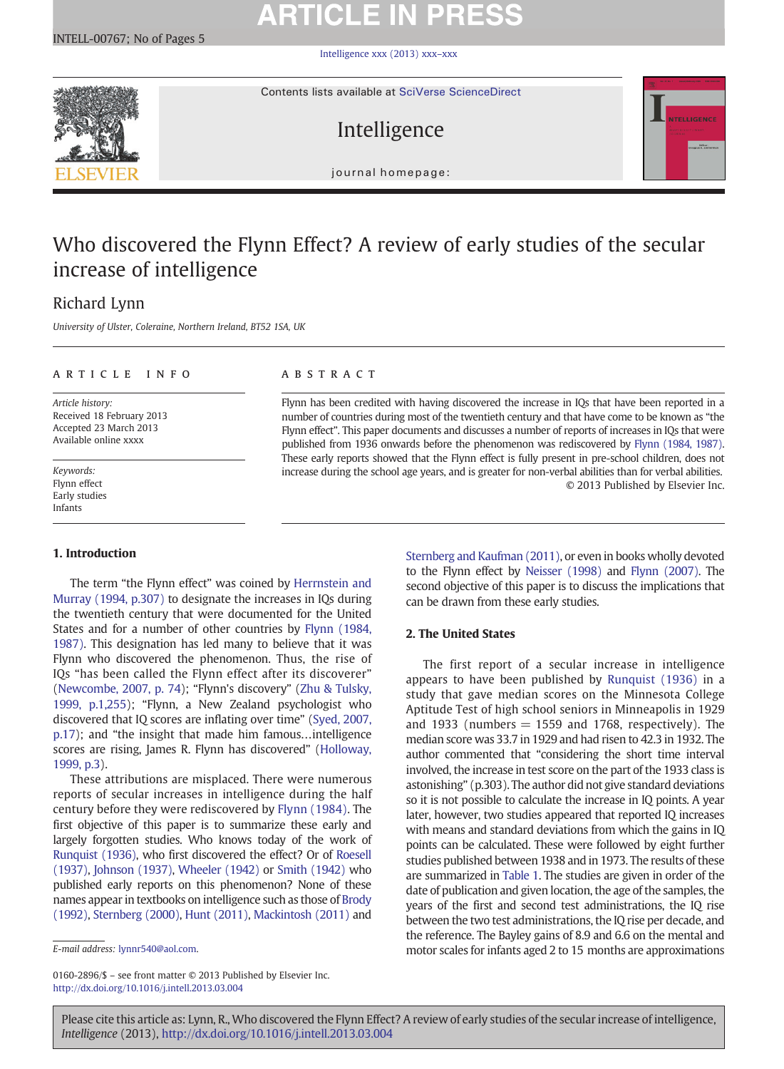# **ARTICLE IN PRESS**

[Intelligence xxx \(2013\) xxx](http://dx.doi.org/10.1016/j.intell.2013.03.004)–xxx



Contents lists available at SciVerse ScienceDirect

# Intelligence



 $\frac{1}{2}$ 

# Who discovered the Flynn Effect? A review of early studies of the secular increase of intelligence

## Richard Lynn

University of Ulster, Coleraine, Northern Ireland, BT52 1SA, UK

### article info abstract

Article history: Received 18 February 2013 Accepted 23 March 2013 Available online xxxx

Keywords: Flynn effect Early studies Infants

### 1. Introduction

The term "the Flynn effect" was coined by [Herrnstein and](#page-3-0) [Murray \(1994, p.307\)](#page-3-0) to designate the increases in IQs during the twentieth century that were documented for the United States and for a number of other countries by [Flynn \(1984,](#page-3-0) [1987\)](#page-3-0). This designation has led many to believe that it was Flynn who discovered the phenomenon. Thus, the rise of IQs "has been called the Flynn effect after its discoverer" [\(Newcombe, 2007, p. 74](#page-3-0)); "Flynn's discovery" ([Zhu & Tulsky,](#page-4-0) [1999, p.1,255\)](#page-4-0); "Flynn, a New Zealand psychologist who discovered that IQ scores are inflating over time" [\(Syed, 2007,](#page-4-0) [p.17](#page-4-0)); and "the insight that made him famous…intelligence scores are rising, James R. Flynn has discovered" [\(Holloway,](#page-3-0) [1999, p.3](#page-3-0)).

These attributions are misplaced. There were numerous reports of secular increases in intelligence during the half century before they were rediscovered by [Flynn \(1984\)](#page-3-0). The first objective of this paper is to summarize these early and largely forgotten studies. Who knows today of the work of [Runquist \(1936\),](#page-3-0) who first discovered the effect? Or of [Roesell](#page-3-0) [\(1937\),](#page-3-0) [Johnson \(1937\),](#page-3-0) [Wheeler \(1942\)](#page-4-0) or [Smith \(1942\)](#page-4-0) who published early reports on this phenomenon? None of these names appear in textbooks on intelligence such as those of [Brody](#page-3-0) [\(1992\),](#page-3-0) [Sternberg \(2000\),](#page-4-0) [Hunt \(2011\)](#page-3-0), [Mackintosh \(2011\)](#page-3-0) and

0160-2896/\$ – see front matter © 2013 Published by Elsevier Inc. <http://dx.doi.org/10.1016/j.intell.2013.03.004>

Flynn has been credited with having discovered the increase in IQs that have been reported in a number of countries during most of the twentieth century and that have come to be known as "the Flynn effect". This paper documents and discusses a number of reports of increases in IQs that were published from 1936 onwards before the phenomenon was rediscovered by [Flynn \(1984, 1987\)](#page-3-0). These early reports showed that the Flynn effect is fully present in pre-school children, does not increase during the school age years, and is greater for non-verbal abilities than for verbal abilities. © 2013 Published by Elsevier Inc.

> [Sternberg and Kaufman \(2011\),](#page-4-0) or even in books wholly devoted to the Flynn effect by [Neisser \(1998\)](#page-3-0) and [Flynn \(2007\).](#page-3-0) The second objective of this paper is to discuss the implications that can be drawn from these early studies.

### 2. The United States

The first report of a secular increase in intelligence appears to have been published by [Runquist \(1936\)](#page-3-0) in a study that gave median scores on the Minnesota College Aptitude Test of high school seniors in Minneapolis in 1929 and 1933 (numbers  $= 1559$  and 1768, respectively). The median score was 33.7 in 1929 and had risen to 42.3 in 1932. The author commented that "considering the short time interval involved, the increase in test score on the part of the 1933 class is astonishing" (p.303). The author did not give standard deviations so it is not possible to calculate the increase in IQ points. A year later, however, two studies appeared that reported IQ increases with means and standard deviations from which the gains in IQ points can be calculated. These were followed by eight further studies published between 1938 and in 1973. The results of these are summarized in [Table 1](#page-1-0). The studies are given in order of the date of publication and given location, the age of the samples, the years of the first and second test administrations, the IQ rise between the two test administrations, the IQ rise per decade, and the reference. The Bayley gains of 8.9 and 6.6 on the mental and motor scales for infants aged 2 to 15 months are approximations

E-mail address: [lynnr540@aol.com](mailto:lynnr540@aol.com).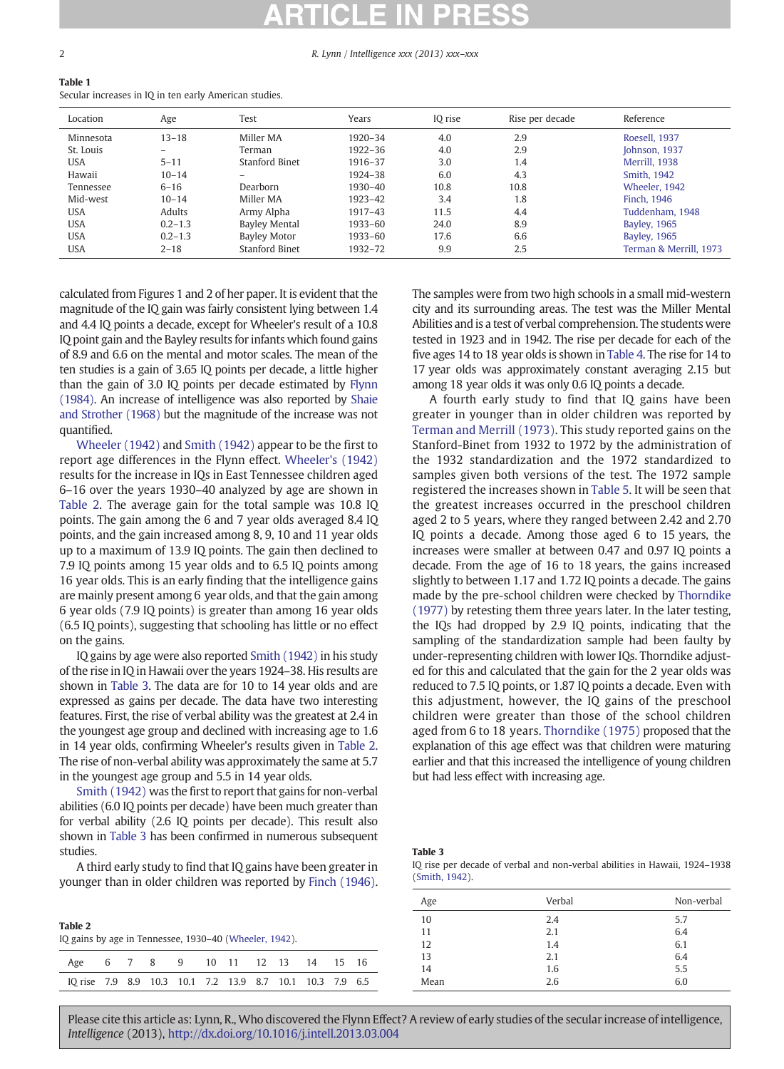#### <span id="page-1-0"></span>2 R. Lynn / Intelligence xxx (2013) xxx–xxx

## Table 1

Secular increases in IQ in ten early American studies.

| Location   | Age         | Test            | Years   | IQ rise | Rise per decade | Reference              |
|------------|-------------|-----------------|---------|---------|-----------------|------------------------|
| Minnesota  | $13 - 18$   | Miller MA       | 1920-34 | 4.0     | 2.9             | Roesell, 1937          |
| St. Louis  | -           | Terman          | 1922-36 | 4.0     | 2.9             | Johnson, 1937          |
| <b>USA</b> | $5 - 11$    | Stanford Binet  | 1916-37 | 3.0     | 1.4             | Merrill, 1938          |
| Hawaii     | $10 - 14$   | -               | 1924-38 | 6.0     | 4.3             | Smith, 1942            |
| Tennessee  | $6 - 16$    | <b>Dearborn</b> | 1930-40 | 10.8    | 10.8            | Wheeler, 1942          |
| Mid-west   | $10 - 14$   | Miller MA       | 1923-42 | 3.4     | 1.8             | Finch, 1946            |
| <b>USA</b> | Adults      | Army Alpha      | 1917-43 | 11.5    | 4.4             | Tuddenham, 1948        |
| <b>USA</b> | $0.2 - 1.3$ | Bayley Mental   | 1933-60 | 24.0    | 8.9             | <b>Bayley, 1965</b>    |
| <b>USA</b> | $0.2 - 1.3$ | Bayley Motor    | 1933-60 | 17.6    | 6.6             | <b>Bayley, 1965</b>    |
| <b>USA</b> | $2 - 18$    | Stanford Binet  | 1932–72 | 9.9     | 2.5             | Terman & Merrill, 1973 |

calculated from Figures 1 and 2 of her paper. It is evident that the magnitude of the IQ gain was fairly consistent lying between 1.4 and 4.4 IQ points a decade, except for Wheeler's result of a 10.8 IQ point gain and the Bayley results for infants which found gains of 8.9 and 6.6 on the mental and motor scales. The mean of the ten studies is a gain of 3.65 IQ points per decade, a little higher than the gain of 3.0 IQ points per decade estimated by [Flynn](#page-3-0) [\(1984\)](#page-3-0). An increase of intelligence was also reported by [Shaie](#page-3-0) [and Strother \(1968\)](#page-3-0) but the magnitude of the increase was not quantified.

[Wheeler \(1942\)](#page-4-0) and [Smith \(1942\)](#page-4-0) appear to be the first to report age differences in the Flynn effect. [Wheeler's \(1942\)](#page-4-0) results for the increase in IQs in East Tennessee children aged 6–16 over the years 1930–40 analyzed by age are shown in Table 2. The average gain for the total sample was 10.8 IQ points. The gain among the 6 and 7 year olds averaged 8.4 IQ points, and the gain increased among 8, 9, 10 and 11 year olds up to a maximum of 13.9 IQ points. The gain then declined to 7.9 IQ points among 15 year olds and to 6.5 IQ points among 16 year olds. This is an early finding that the intelligence gains are mainly present among 6 year olds, and that the gain among 6 year olds (7.9 IQ points) is greater than among 16 year olds (6.5 IQ points), suggesting that schooling has little or no effect on the gains.

IQ gains by age were also reported [Smith \(1942\)](#page-4-0) in his study of the rise in IQ in Hawaii over the years 1924–38. His results are shown in Table 3. The data are for 10 to 14 year olds and are expressed as gains per decade. The data have two interesting features. First, the rise of verbal ability was the greatest at 2.4 in the youngest age group and declined with increasing age to 1.6 in 14 year olds, confirming Wheeler's results given in Table 2. The rise of non-verbal ability was approximately the same at 5.7 in the youngest age group and 5.5 in 14 year olds.

[Smith \(1942\)](#page-4-0) was the first to report that gains for non-verbal abilities (6.0 IQ points per decade) have been much greater than for verbal ability (2.6 IQ points per decade). This result also shown in Table 3 has been confirmed in numerous subsequent studies.

A third early study to find that IQ gains have been greater in younger than in older children was reported by [Finch \(1946\).](#page-3-0)

| Table 2<br>IQ gains by age in Tennessee, 1930–40 (Wheeler, 1942). |  |  |  |  |  |  |  |  |  |  |
|-------------------------------------------------------------------|--|--|--|--|--|--|--|--|--|--|
| Age 6 7 8 9 10 11 12 13 14 15 16                                  |  |  |  |  |  |  |  |  |  |  |
| IQ rise 7.9 8.9 10.3 10.1 7.2 13.9 8.7 10.1 10.3 7.9 6.5          |  |  |  |  |  |  |  |  |  |  |

The samples were from two high schools in a small mid-western city and its surrounding areas. The test was the Miller Mental Abilities and is a test of verbal comprehension. The students were tested in 1923 and in 1942. The rise per decade for each of the five ages 14 to 18 year olds is shown in [Table 4](#page-2-0). The rise for 14 to 17 year olds was approximately constant averaging 2.15 but among 18 year olds it was only 0.6 IQ points a decade.

A fourth early study to find that IQ gains have been greater in younger than in older children was reported by [Terman and Merrill \(1973\)](#page-4-0). This study reported gains on the Stanford-Binet from 1932 to 1972 by the administration of the 1932 standardization and the 1972 standardized to samples given both versions of the test. The 1972 sample registered the increases shown in [Table 5.](#page-2-0) It will be seen that the greatest increases occurred in the preschool children aged 2 to 5 years, where they ranged between 2.42 and 2.70 IQ points a decade. Among those aged 6 to 15 years, the increases were smaller at between 0.47 and 0.97 IQ points a decade. From the age of 16 to 18 years, the gains increased slightly to between 1.17 and 1.72 IQ points a decade. The gains made by the pre-school children were checked by [Thorndike](#page-4-0) [\(1977\)](#page-4-0) by retesting them three years later. In the later testing, the IQs had dropped by 2.9 IQ points, indicating that the sampling of the standardization sample had been faulty by under-representing children with lower IQs. Thorndike adjusted for this and calculated that the gain for the 2 year olds was reduced to 7.5 IQ points, or 1.87 IQ points a decade. Even with this adjustment, however, the IQ gains of the preschool children were greater than those of the school children aged from 6 to 18 years. [Thorndike \(1975\)](#page-4-0) proposed that the explanation of this age effect was that children were maturing earlier and that this increased the intelligence of young children but had less effect with increasing age.

#### Table 3

|                |  |  | IQ rise per decade of verbal and non-verbal abilities in Hawaii, 1924–1938 |  |  |  |
|----------------|--|--|----------------------------------------------------------------------------|--|--|--|
| (Smith, 1942). |  |  |                                                                            |  |  |  |

| Age  | Verbal | Non-verbal |
|------|--------|------------|
| 10   | 2.4    | 5.7        |
| 11   | 2.1    | 6.4        |
| 12   | 1.4    | 6.1        |
| 13   | 2.1    | 6.4        |
| 14   | 1.6    | 5.5        |
| Mean | 2.6    | 6.0        |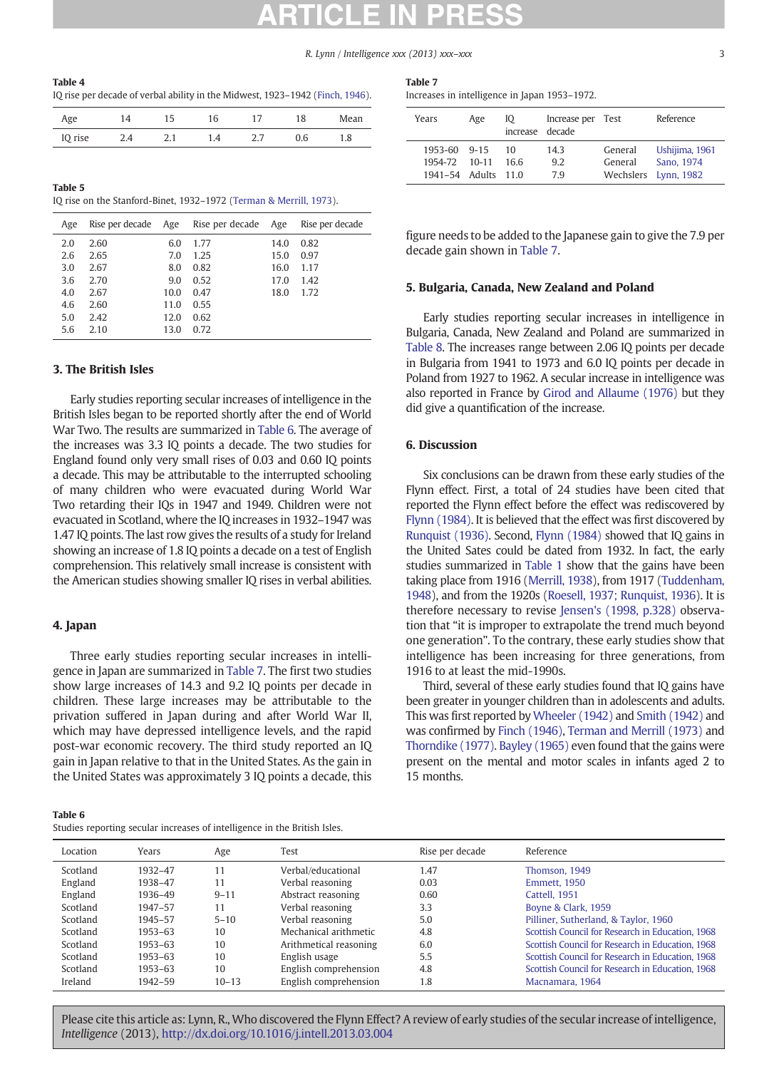R. Lynn / Intelligence xxx (2013) xxx–xxx 3

<span id="page-2-0"></span>

| Table 4                                                                       |  |
|-------------------------------------------------------------------------------|--|
| IQ rise per decade of verbal ability in the Midwest, 1923-1942 (Finch, 1946). |  |

| Age     | 14  |     | 16  |     | 18  | Mean |
|---------|-----|-----|-----|-----|-----|------|
| IQ rise | 2.4 | z.l | 1.4 | ر . | 0.6 | 1.8  |

| Table 5                                                            |  |  |
|--------------------------------------------------------------------|--|--|
| IQ rise on the Stanford-Binet, 1932–1972 (Terman & Merrill, 1973). |  |  |

| Age | Rise per decade | Age  | Rise per decade | Age  | Rise per decade |
|-----|-----------------|------|-----------------|------|-----------------|
| 2.0 | 2.60            | 6.0  | 1.77            | 14.0 | 0.82            |
| 2.6 | 2.65            | 7.0  | 1.25            | 15.0 | 0.97            |
| 3.0 | 2.67            | 8.0  | 0.82            | 16.0 | 1.17            |
| 3.6 | 2.70            | 9.0  | 0.52            | 17.0 | 1.42            |
| 4.0 | 2.67            | 10.0 | 0.47            | 18.0 | 1.72            |
| 4.6 | 2.60            | 11.0 | 0.55            |      |                 |
| 5.0 | 2.42            | 12.0 | 0.62            |      |                 |
| 5.6 | 2.10            | 13.0 | 0.72            |      |                 |

### 3. The British Isles

Early studies reporting secular increases of intelligence in the British Isles began to be reported shortly after the end of World War Two. The results are summarized in Table 6. The average of the increases was 3.3 IQ points a decade. The two studies for England found only very small rises of 0.03 and 0.60 IQ points a decade. This may be attributable to the interrupted schooling of many children who were evacuated during World War Two retarding their IQs in 1947 and 1949. Children were not evacuated in Scotland, where the IQ increases in 1932–1947 was 1.47 IQ points. The last row gives the results of a study for Ireland showing an increase of 1.8 IQ points a decade on a test of English comprehension. This relatively small increase is consistent with the American studies showing smaller IQ rises in verbal abilities.

### 4. Japan

Three early studies reporting secular increases in intelligence in Japan are summarized in Table 7. The first two studies show large increases of 14.3 and 9.2 IQ points per decade in children. These large increases may be attributable to the privation suffered in Japan during and after World War II, which may have depressed intelligence levels, and the rapid post-war economic recovery. The third study reported an IQ gain in Japan relative to that in the United States. As the gain in the United States was approximately 3 IQ points a decade, this

Table 6 Studies reporting secular increases of intelligence in the British Isles.

| Table 7 |                                             |  |
|---------|---------------------------------------------|--|
|         | Increases in intelligence in Janan 1953-197 |  |

|  |  |  |  | Increases in intelligence in Japan 1953–1972. |  |  |  |  |  |
|--|--|--|--|-----------------------------------------------|--|--|--|--|--|
|--|--|--|--|-----------------------------------------------|--|--|--|--|--|

| Years                                         | Age     | Ю<br>increase decade | Increase per Test |                    | Reference                                            |
|-----------------------------------------------|---------|----------------------|-------------------|--------------------|------------------------------------------------------|
| 1953-60 9-15<br>1954-72<br>1941-54 Adults 110 | $10-11$ | 10<br>166            | 143<br>9.2<br>7.9 | General<br>General | Ushijima, 1961<br>Sano, 1974<br>Wechslers Lynn, 1982 |

figure needs to be added to the Japanese gain to give the 7.9 per decade gain shown in Table 7.

### 5. Bulgaria, Canada, New Zealand and Poland

Early studies reporting secular increases in intelligence in Bulgaria, Canada, New Zealand and Poland are summarized in [Table 8](#page-3-0). The increases range between 2.06 IQ points per decade in Bulgaria from 1941 to 1973 and 6.0 IQ points per decade in Poland from 1927 to 1962. A secular increase in intelligence was also reported in France by [Girod and Allaume \(1976\)](#page-3-0) but they did give a quantification of the increase.

#### 6. Discussion

Six conclusions can be drawn from these early studies of the Flynn effect. First, a total of 24 studies have been cited that reported the Flynn effect before the effect was rediscovered by [Flynn \(1984\)](#page-3-0). It is believed that the effect was first discovered by [Runquist \(1936\)](#page-3-0). Second, [Flynn \(1984\)](#page-3-0) showed that IQ gains in the United Sates could be dated from 1932. In fact, the early studies summarized in [Table 1](#page-1-0) show that the gains have been taking place from 1916 ([Merrill, 1938](#page-3-0)), from 1917 [\(Tuddenham,](#page-4-0) [1948](#page-4-0)), and from the 1920s [\(Roesell, 1937; Runquist, 1936\)](#page-3-0). It is therefore necessary to revise [Jensen's \(1998, p.328\)](#page-3-0) observation that "it is improper to extrapolate the trend much beyond one generation". To the contrary, these early studies show that intelligence has been increasing for three generations, from 1916 to at least the mid-1990s.

Third, several of these early studies found that IQ gains have been greater in younger children than in adolescents and adults. This was first reported by [Wheeler \(1942\)](#page-4-0) and [Smith \(1942\)](#page-4-0) and was confirmed by [Finch \(1946\),](#page-3-0) [Terman and Merrill \(1973\)](#page-4-0) and [Thorndike \(1977\)](#page-4-0). [Bayley \(1965\)](#page-3-0) even found that the gains were present on the mental and motor scales in infants aged 2 to 15 months.

| Location | Years   | Age       | Test                   | Rise per decade | Reference                                        |
|----------|---------|-----------|------------------------|-----------------|--------------------------------------------------|
| Scotland | 1932-47 | 11        | Verbal/educational     | 1.47            | Thomson, 1949                                    |
| England  | 1938-47 | 11        | Verbal reasoning       | 0.03            | <b>Emmett. 1950</b>                              |
| England  | 1936-49 | $9 - 11$  | Abstract reasoning     | 0.60            | Cattell, 1951                                    |
| Scotland | 1947-57 | 11        | Verbal reasoning       | 3.3             | Boyne & Clark, 1959                              |
| Scotland | 1945-57 | $5 - 10$  | Verbal reasoning       | 5.0             | Pilliner, Sutherland, & Taylor, 1960             |
| Scotland | 1953-63 | 10        | Mechanical arithmetic  | 4.8             | Scottish Council for Research in Education, 1968 |
| Scotland | 1953-63 | 10        | Arithmetical reasoning | 6.0             | Scottish Council for Research in Education, 1968 |
| Scotland | 1953-63 | 10        | English usage          | 5.5             | Scottish Council for Research in Education, 1968 |
| Scotland | 1953-63 | 10        | English comprehension  | 4.8             | Scottish Council for Research in Education, 1968 |
| Ireland  | 1942-59 | $10 - 13$ | English comprehension  | 1.8             | Macnamara, 1964                                  |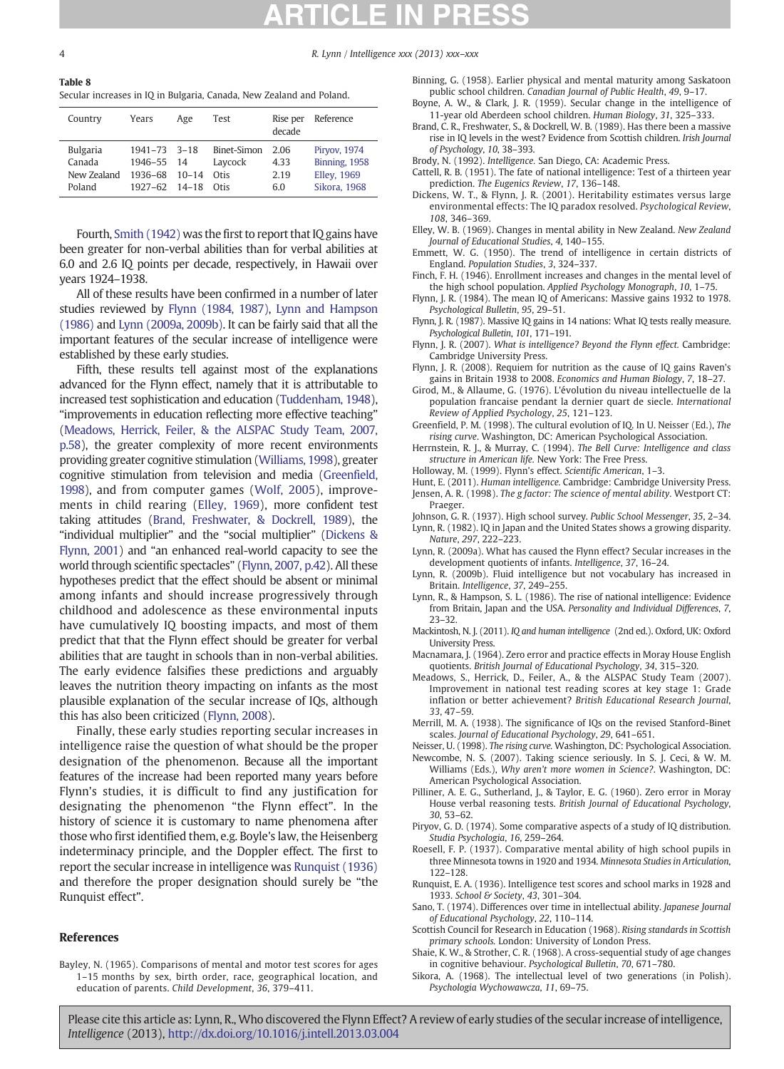<span id="page-3-0"></span>4 R. Lynn / Intelligence xxx (2013) xxx–xxx

Table 8 Secular increases in IQ in Bulgaria, Canada, New Zealand and Poland.

| Country         | Years                 | Age       | Test        | Rise per<br>decade | Reference          |
|-----------------|-----------------------|-----------|-------------|--------------------|--------------------|
| <b>Bulgaria</b> | $1941 - 73$ 3-18      | $10 - 14$ | Binet-Simon | 2.06               | Piryov, 1974       |
| Canada          | 1946-55 14            |           | Laycock     | 4.33               | Binning, 1958      |
| New Zealand     | 1936-68               |           | Otis        | 2.19               | <b>Elley, 1969</b> |
| Poland          | $1927 - 62$ $14 - 18$ |           | Otis        | 60                 | Sikora, 1968       |

Fourth, [Smith \(1942\)](#page-4-0) was the first to report that IQ gains have been greater for non-verbal abilities than for verbal abilities at 6.0 and 2.6 IQ points per decade, respectively, in Hawaii over years 1924–1938.

All of these results have been confirmed in a number of later studies reviewed by Flynn (1984, 1987), Lynn and Hampson (1986) and Lynn (2009a, 2009b). It can be fairly said that all the important features of the secular increase of intelligence were established by these early studies.

Fifth, these results tell against most of the explanations advanced for the Flynn effect, namely that it is attributable to increased test sophistication and education ([Tuddenham, 1948](#page-4-0)), "improvements in education reflecting more effective teaching" (Meadows, Herrick, Feiler, & the ALSPAC Study Team, 2007, p.58), the greater complexity of more recent environments providing greater cognitive stimulation ([Williams, 1998](#page-4-0)), greater cognitive stimulation from television and media (Greenfield, 1998), and from computer games ([Wolf, 2005\)](#page-4-0), improvements in child rearing (Elley, 1969), more confident test taking attitudes (Brand, Freshwater, & Dockrell, 1989), the "individual multiplier" and the "social multiplier" (Dickens & Flynn, 2001) and "an enhanced real-world capacity to see the world through scientific spectacles" (Flynn, 2007, p.42). All these hypotheses predict that the effect should be absent or minimal among infants and should increase progressively through childhood and adolescence as these environmental inputs have cumulatively IQ boosting impacts, and most of them predict that that the Flynn effect should be greater for verbal abilities that are taught in schools than in non-verbal abilities. The early evidence falsifies these predictions and arguably leaves the nutrition theory impacting on infants as the most plausible explanation of the secular increase of IQs, although this has also been criticized (Flynn, 2008).

Finally, these early studies reporting secular increases in intelligence raise the question of what should be the proper designation of the phenomenon. Because all the important features of the increase had been reported many years before Flynn's studies, it is difficult to find any justification for designating the phenomenon "the Flynn effect". In the history of science it is customary to name phenomena after those who first identified them, e.g. Boyle's law, the Heisenberg indeterminacy principle, and the Doppler effect. The first to report the secular increase in intelligence was Runquist (1936) and therefore the proper designation should surely be "the Runquist effect".

#### References

Bayley, N. (1965). Comparisons of mental and motor test scores for ages 1–15 months by sex, birth order, race, geographical location, and education of parents. Child Development, 36, 379–411.

- Binning, G. (1958). Earlier physical and mental maturity among Saskatoon public school children. Canadian Journal of Public Health, 49, 9–17.
- Boyne, A. W., & Clark, J. R. (1959). Secular change in the intelligence of 11-year old Aberdeen school children. Human Biology, 31, 325–333.
- Brand, C. R., Freshwater, S., & Dockrell, W. B. (1989). Has there been a massive rise in IQ levels in the west? Evidence from Scottish children. Irish Journal of Psychology, 10, 38–393.
- Brody, N. (1992). Intelligence. San Diego, CA: Academic Press.
- Cattell, R. B. (1951). The fate of national intelligence: Test of a thirteen year prediction. The Eugenics Review, 17, 136–148.
- Dickens, W. T., & Flynn, J. R. (2001). Heritability estimates versus large environmental effects: The IQ paradox resolved. Psychological Review, 108, 346–369.
- Elley, W. B. (1969). Changes in mental ability in New Zealand. New Zealand Journal of Educational Studies, 4, 140–155.
- Emmett, W. G. (1950). The trend of intelligence in certain districts of England. Population Studies, 3, 324–337.
- Finch, F. H. (1946). Enrollment increases and changes in the mental level of the high school population. Applied Psychology Monograph, 10, 1–75.
- Flynn, J. R. (1984). The mean IQ of Americans: Massive gains 1932 to 1978. Psychological Bulletin, 95, 29–51.
- Flynn, J. R. (1987). Massive IQ gains in 14 nations: What IQ tests really measure. Psychological Bulletin, 101, 171–191.
- Flynn, J. R. (2007). What is intelligence? Beyond the Flynn effect. Cambridge: Cambridge University Press.
- Flynn, J. R. (2008). Requiem for nutrition as the cause of IQ gains Raven's gains in Britain 1938 to 2008. Economics and Human Biology, 7, 18–27.
- Girod, M., & Allaume, G. (1976). L'évolution du niveau intellectuelle de la population francaise pendant la dernier quart de siecle. International Review of Applied Psychology, 25, 121–123.
- Greenfield, P. M. (1998). The cultural evolution of IQ. In U. Neisser (Ed.), The rising curve. Washington, DC: American Psychological Association.
- Herrnstein, R. J., & Murray, C. (1994). The Bell Curve: Intelligence and class structure in American life. New York: The Free Press.
- Holloway, M. (1999). Flynn's effect. Scientific American, 1–3.
- Hunt, E. (2011). Human intelligence. Cambridge: Cambridge University Press. Jensen, A. R. (1998). The g factor: The science of mental ability. Westport CT: Praeger.
- Johnson, G. R. (1937). High school survey. Public School Messenger, 35, 2–34. Lynn, R. (1982). IQ in Japan and the United States shows a growing disparity. Nature, 297, 222–223.
- Lynn, R. (2009a). What has caused the Flynn effect? Secular increases in the development quotients of infants. Intelligence, 37, 16–24.
- Lynn, R. (2009b). Fluid intelligence but not vocabulary has increased in Britain. Intelligence, 37, 249–255.
- Lynn, R., & Hampson, S. L. (1986). The rise of national intelligence: Evidence from Britain, Japan and the USA. Personality and Individual Differences, 7, 23–32.
- Mackintosh, N. J. (2011). IQ and human intelligence (2nd ed.). Oxford, UK: Oxford University Press.
- Macnamara, J. (1964). Zero error and practice effects in Moray House English quotients. British Journal of Educational Psychology, 34, 315–320.
- Meadows, S., Herrick, D., Feiler, A., & the ALSPAC Study Team (2007). Improvement in national test reading scores at key stage 1: Grade inflation or better achievement? British Educational Research Journal, 33, 47–59.
- Merrill, M. A. (1938). The significance of IQs on the revised Stanford-Binet scales. Journal of Educational Psychology, 29, 641–651.
- Neisser, U. (1998). The rising curve. Washington, DC: Psychological Association.
- Newcombe, N. S. (2007). Taking science seriously. In S. J. Ceci, & W. M. Williams (Eds.), Why aren't more women in Science?. Washington, DC: American Psychological Association.
- Pilliner, A. E. G., Sutherland, J., & Taylor, E. G. (1960). Zero error in Moray House verbal reasoning tests. British Journal of Educational Psychology, 30, 53–62.
- Piryov, G. D. (1974). Some comparative aspects of a study of IQ distribution. Studia Psychologia, 16, 259–264.
- Roesell, F. P. (1937). Comparative mental ability of high school pupils in three Minnesota towns in 1920 and 1934. Minnesota Studies in Articulation, 122–128.
- Runquist, E. A. (1936). Intelligence test scores and school marks in 1928 and 1933. School & Society, 43, 301–304.
- Sano, T. (1974). Differences over time in intellectual ability. Japanese Journal of Educational Psychology, 22, 110–114.
- Scottish Council for Research in Education (1968). Rising standards in Scottish primary schools. London: University of London Press.
- Shaie, K. W., & Strother, C. R. (1968). A cross-sequential study of age changes in cognitive behaviour. Psychological Bulletin, 70, 671–780.
- Sikora, A. (1968). The intellectual level of two generations (in Polish). Psychologia Wychowawcza, 11, 69–75.